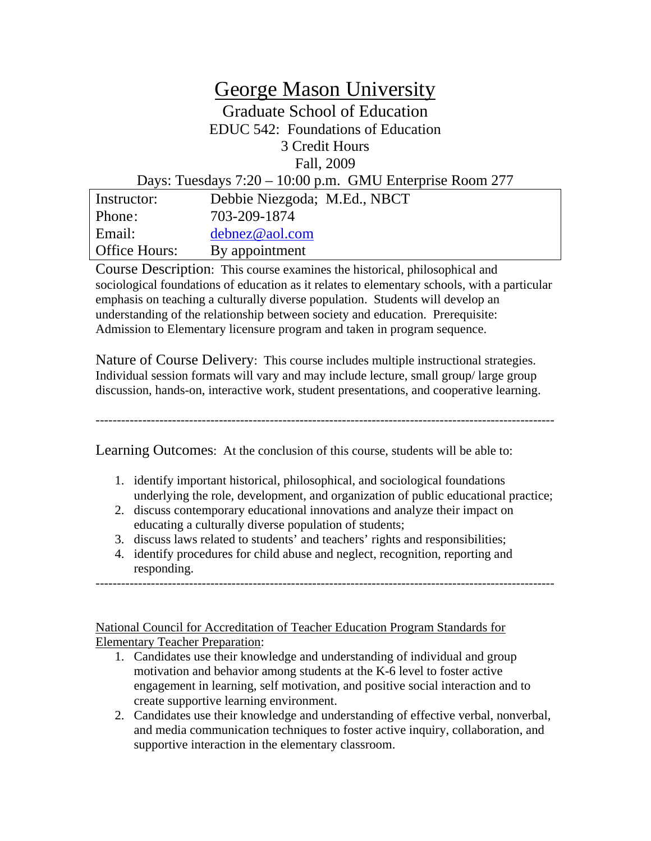# George Mason University

Graduate School of Education EDUC 542: Foundations of Education 3 Credit Hours Fall, 2009

#### Days: Tuesdays 7:20 – 10:00 p.m. GMU Enterprise Room 277

| Instructor:          | Debbie Niezgoda; M.Ed., NBCT |
|----------------------|------------------------------|
| Phone:               | 703-209-1874                 |
| Email:               | debnez@aol.com               |
| <b>Office Hours:</b> | By appointment               |

Course Description: This course examines the historical, philosophical and sociological foundations of education as it relates to elementary schools, with a particular emphasis on teaching a culturally diverse population. Students will develop an understanding of the relationship between society and education. Prerequisite: Admission to Elementary licensure program and taken in program sequence.

Nature of Course Delivery:This course includes multiple instructional strategies. Individual session formats will vary and may include lecture, small group/ large group discussion, hands-on, interactive work, student presentations, and cooperative learning.

------------------------------------------------------------------------------------------------------------

#### Learning Outcomes: At the conclusion of this course, students will be able to:

- 1. identify important historical, philosophical, and sociological foundations underlying the role, development, and organization of public educational practice;
- 2. discuss contemporary educational innovations and analyze their impact on educating a culturally diverse population of students;
- 3. discuss laws related to students' and teachers' rights and responsibilities;
- 4. identify procedures for child abuse and neglect, recognition, reporting and responding.

------------------------------------------------------------------------------------------------------------

National Council for Accreditation of Teacher Education Program Standards for Elementary Teacher Preparation:

- 1. Candidates use their knowledge and understanding of individual and group motivation and behavior among students at the K-6 level to foster active engagement in learning, self motivation, and positive social interaction and to create supportive learning environment.
- 2. Candidates use their knowledge and understanding of effective verbal, nonverbal, and media communication techniques to foster active inquiry, collaboration, and supportive interaction in the elementary classroom.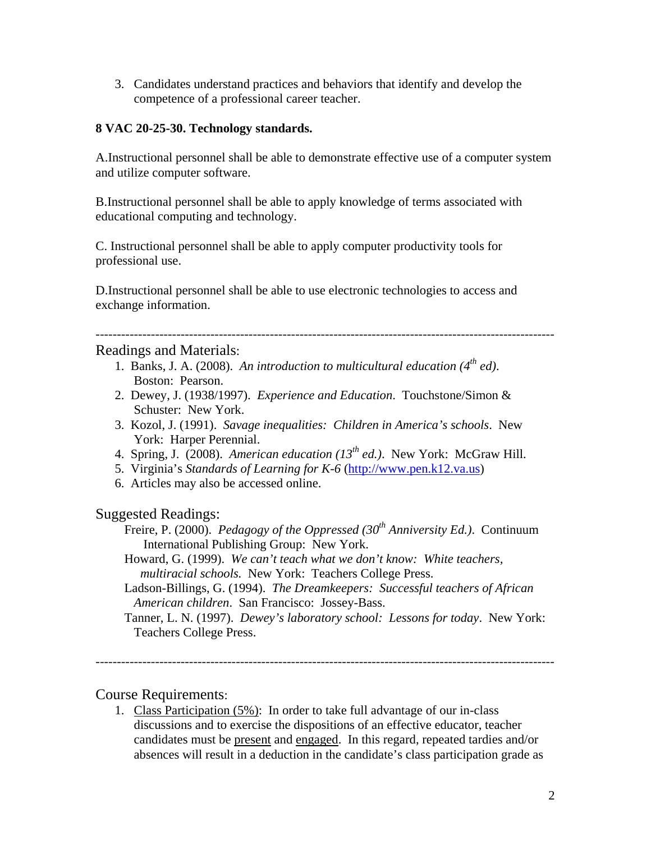3. Candidates understand practices and behaviors that identify and develop the competence of a professional career teacher.

#### **8 VAC 20-25-30. Technology standards.**

A.Instructional personnel shall be able to demonstrate effective use of a computer system and utilize computer software.

B.Instructional personnel shall be able to apply knowledge of terms associated with educational computing and technology.

C. Instructional personnel shall be able to apply computer productivity tools for professional use.

D.Instructional personnel shall be able to use electronic technologies to access and exchange information.

------------------------------------------------------------------------------------------------------------

#### Readings and Materials:

- 1. Banks, J. A. (2008). *An introduction to multicultural education (4th ed)*. Boston: Pearson.
- 2. Dewey, J. (1938/1997). *Experience and Education*. Touchstone/Simon & Schuster: New York.
- 3. Kozol, J. (1991). *Savage inequalities: Children in America's schools*. New York: Harper Perennial.
- 4. Spring, J. (2008). *American education (13<sup>th</sup> ed.)*. New York: McGraw Hill.
- 5. Virginia's *Standards of Learning for K-6* ([http://www.pen.k12.va.us\)](http://www.pen.k12.va.us/)
- 6. Articles may also be accessed online.

#### Suggested Readings:

Freire, P. (2000). *Pedagogy of the Oppressed (30<sup>th</sup> Anniversity Ed.)*. Continuum International Publishing Group: New York.

- Howard, G. (1999). *We can't teach what we don't know: White teachers, multiracial schools.* New York: Teachers College Press.
- Ladson-Billings, G. (1994). *The Dreamkeepers: Successful teachers of African American children*. San Francisco: Jossey-Bass.
- Tanner, L. N. (1997). *Dewey's laboratory school: Lessons for today*. New York: Teachers College Press.

------------------------------------------------------------------------------------------------------------

### Course Requirements:

1. Class Participation (5%): In order to take full advantage of our in-class discussions and to exercise the dispositions of an effective educator, teacher candidates must be present and engaged. In this regard, repeated tardies and/or absences will result in a deduction in the candidate's class participation grade as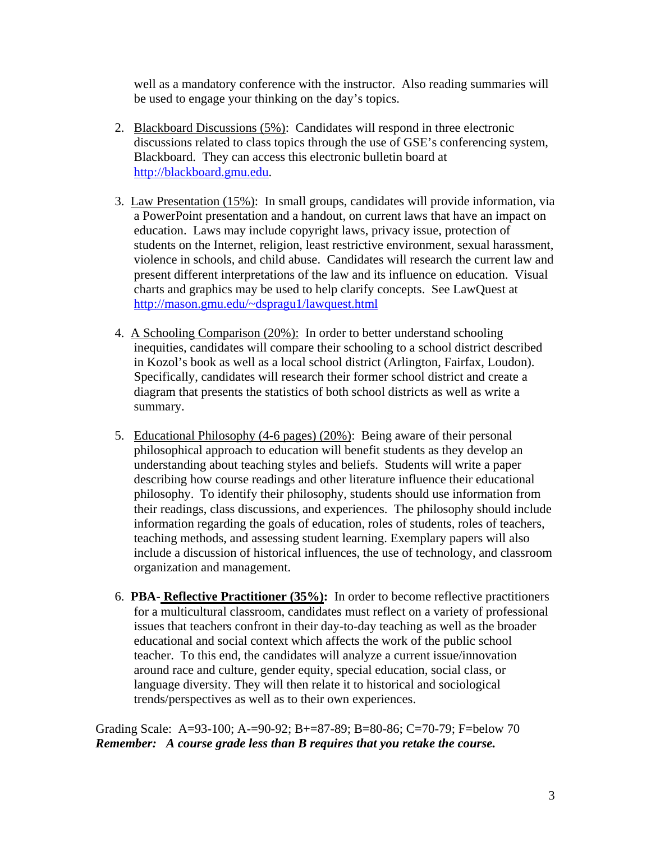well as a mandatory conference with the instructor. Also reading summaries will be used to engage your thinking on the day's topics.

- 2. Blackboard Discussions (5%): Candidates will respond in three electronic discussions related to class topics through the use of GSE's conferencing system, Blackboard. They can access this electronic bulletin board at [http://blackboard.gmu.edu.](http://blackboard.gmu.edu/)
- 3. Law Presentation (15%): In small groups, candidates will provide information, via a PowerPoint presentation and a handout, on current laws that have an impact on education. Laws may include copyright laws, privacy issue, protection of students on the Internet, religion, least restrictive environment, sexual harassment, violence in schools, and child abuse. Candidates will research the current law and present different interpretations of the law and its influence on education. Visual charts and graphics may be used to help clarify concepts. See LawQuest at [http://mason.gmu.edu/~dspragu1/lawquest.html](http://mason.gmu.edu/%7Edspragu1/lawquest.html)
- 4. A Schooling Comparison (20%): In order to better understand schooling inequities, candidates will compare their schooling to a school district described in Kozol's book as well as a local school district (Arlington, Fairfax, Loudon). Specifically, candidates will research their former school district and create a diagram that presents the statistics of both school districts as well as write a summary.
- 5. Educational Philosophy (4-6 pages) (20%): Being aware of their personal philosophical approach to education will benefit students as they develop an understanding about teaching styles and beliefs. Students will write a paper describing how course readings and other literature influence their educational philosophy. To identify their philosophy, students should use information from their readings, class discussions, and experiences. The philosophy should include information regarding the goals of education, roles of students, roles of teachers, teaching methods, and assessing student learning. Exemplary papers will also include a discussion of historical influences, the use of technology, and classroom organization and management.
- 6. **PBA**- **Reflective Practitioner (35%):** In order to become reflective practitioners for a multicultural classroom, candidates must reflect on a variety of professional issues that teachers confront in their day-to-day teaching as well as the broader educational and social context which affects the work of the public school teacher. To this end, the candidates will analyze a current issue/innovation around race and culture, gender equity, special education, social class, or language diversity. They will then relate it to historical and sociological trends/perspectives as well as to their own experiences.

Grading Scale: A=93-100; A-=90-92; B+=87-89; B=80-86; C=70-79; F=below 70 *Remember: A course grade less than B requires that you retake the course.*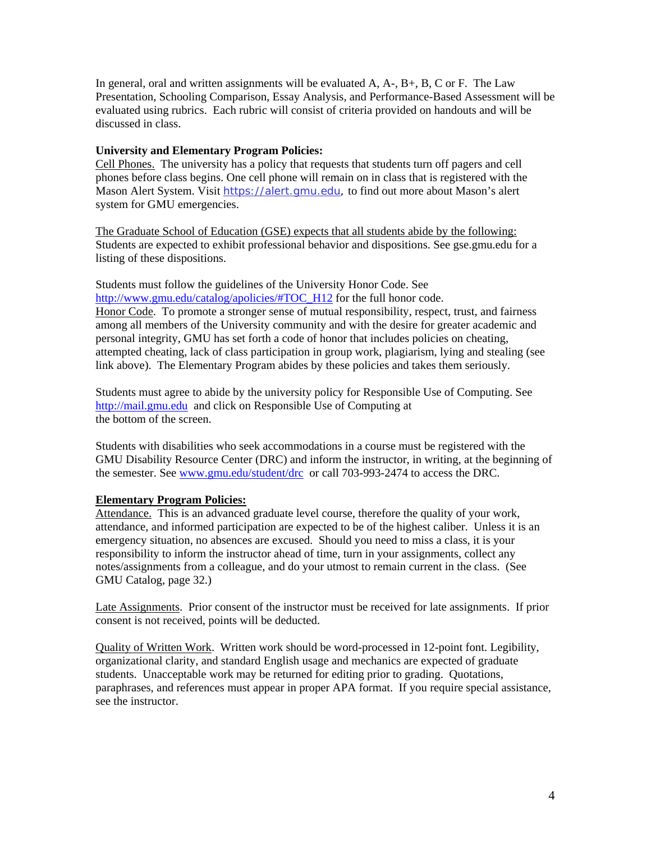In general, oral and written assignments will be evaluated  $A, A, B, B, C$  or F. The Law Presentation, Schooling Comparison, Essay Analysis, and Performance-Based Assessment will be evaluated using rubrics. Each rubric will consist of criteria provided on handouts and will be discussed in class.

#### **University and Elementary Program Policies:**

Cell Phones. The university has a policy that requests that students turn off pagers and cell phones before class begins. One cell phone will remain on in class that is registered with the Mason Alert System. Visit [https://alert.gmu.edu](https://alert.gmu.edu/), to find out more about Mason's alert system for GMU emergencies.

The Graduate School of Education (GSE) expects that all students abide by the following: Students are expected to exhibit professional behavior and dispositions. See gse.gmu.edu for a listing of these dispositions.

Students must follow the guidelines of the University Honor Code. See [http://www.gmu.edu/catalog/apolicies/#TOC\\_H12](http://www.gmu.edu/catalog/apolicies/#TOC_H12) for the full honor code. Honor Code. To promote a stronger sense of mutual responsibility, respect, trust, and fairness among all members of the University community and with the desire for greater academic and personal integrity, GMU has set forth a code of honor that includes policies on cheating, attempted cheating, lack of class participation in group work, plagiarism, lying and stealing (see link above). The Elementary Program abides by these policies and takes them seriously.

Students must agree to abide by the university policy for Responsible Use of Computing. See [http://mail.gmu.edu](http://mail.gmu.edu/) and click on Responsible Use of Computing at the bottom of the screen.

Students with disabilities who seek accommodations in a course must be registered with the GMU Disability Resource Center (DRC) and inform the instructor, in writing, at the beginning of the semester. See [www.gmu.edu/student/drc](http://www.gmu.edu/student/drc) or call 703-993-2474 to access the DRC.

#### **Elementary Program Policies:**

Attendance. This is an advanced graduate level course, therefore the quality of your work, attendance, and informed participation are expected to be of the highest caliber. Unless it is an emergency situation, no absences are excused. Should you need to miss a class, it is your responsibility to inform the instructor ahead of time, turn in your assignments, collect any notes/assignments from a colleague, and do your utmost to remain current in the class. (See GMU Catalog, page 32.)

Late Assignments. Prior consent of the instructor must be received for late assignments. If prior consent is not received, points will be deducted.

Quality of Written Work. Written work should be word-processed in 12-point font. Legibility, organizational clarity, and standard English usage and mechanics are expected of graduate students. Unacceptable work may be returned for editing prior to grading. Quotations, paraphrases, and references must appear in proper APA format. If you require special assistance, see the instructor.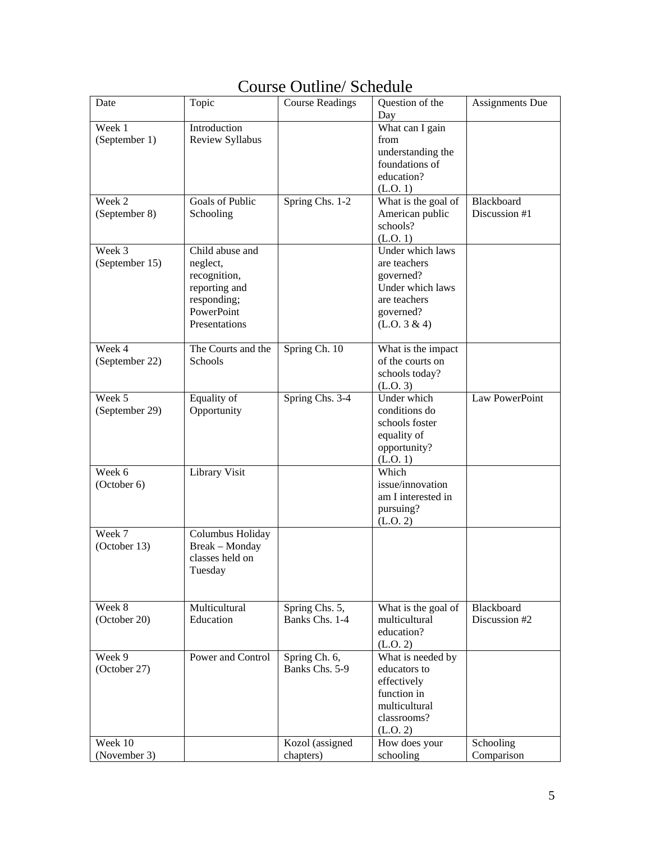## Course Outline/ Schedule

| Date           | Topic              | <b>Course Readings</b> | Question of the<br>Day | <b>Assignments Due</b> |
|----------------|--------------------|------------------------|------------------------|------------------------|
| Week 1         | Introduction       |                        | What can I gain        |                        |
|                |                    |                        |                        |                        |
| (September 1)  | Review Syllabus    |                        | from                   |                        |
|                |                    |                        | understanding the      |                        |
|                |                    |                        | foundations of         |                        |
|                |                    |                        | education?             |                        |
|                |                    |                        | (L.O. 1)               |                        |
| Week 2         | Goals of Public    |                        |                        | Blackboard             |
|                |                    | Spring Chs. 1-2        | What is the goal of    |                        |
| (September 8)  | Schooling          |                        | American public        | Discussion #1          |
|                |                    |                        | schools?               |                        |
|                |                    |                        | (L.O. 1)               |                        |
| Week 3         | Child abuse and    |                        | Under which laws       |                        |
| (September 15) | neglect,           |                        | are teachers           |                        |
|                |                    |                        |                        |                        |
|                | recognition,       |                        | governed?              |                        |
|                | reporting and      |                        | Under which laws       |                        |
|                | responding;        |                        | are teachers           |                        |
|                | PowerPoint         |                        | governed?              |                        |
|                | Presentations      |                        | (L.O. 3 & 4)           |                        |
|                |                    |                        |                        |                        |
| Week 4         | The Courts and the | Spring Ch. 10          | What is the impact     |                        |
| (September 22) | Schools            |                        | of the courts on       |                        |
|                |                    |                        |                        |                        |
|                |                    |                        | schools today?         |                        |
|                |                    |                        | (L.0.3)                |                        |
| Week 5         | Equality of        | Spring Chs. 3-4        | Under which            | Law PowerPoint         |
| (September 29) | Opportunity        |                        | conditions do          |                        |
|                |                    |                        | schools foster         |                        |
|                |                    |                        | equality of            |                        |
|                |                    |                        | opportunity?           |                        |
|                |                    |                        |                        |                        |
|                |                    |                        | (L.O. 1)               |                        |
| Week 6         | Library Visit      |                        | Which                  |                        |
| (October 6)    |                    |                        | issue/innovation       |                        |
|                |                    |                        | am I interested in     |                        |
|                |                    |                        | pursuing?              |                        |
|                |                    |                        | (L.O. 2)               |                        |
| Week 7         | Columbus Holiday   |                        |                        |                        |
| (October 13)   | Break - Monday     |                        |                        |                        |
|                | classes held on    |                        |                        |                        |
|                |                    |                        |                        |                        |
|                | Tuesday            |                        |                        |                        |
|                |                    |                        |                        |                        |
| Week 8         | Multicultural      | Spring Chs. 5,         | What is the goal of    | Blackboard             |
| (October 20)   | Education          | Banks Chs. 1-4         | multicultural          | Discussion #2          |
|                |                    |                        |                        |                        |
|                |                    |                        | education?             |                        |
|                |                    |                        | (L.O. 2)               |                        |
| Week 9         | Power and Control  | Spring Ch. 6,          | What is needed by      |                        |
| (October 27)   |                    | Banks Chs. 5-9         | educators to           |                        |
|                |                    |                        | effectively            |                        |
|                |                    |                        | function in            |                        |
|                |                    |                        |                        |                        |
|                |                    |                        | multicultural          |                        |
|                |                    |                        | classrooms?            |                        |
|                |                    |                        | (L.O. 2)               |                        |
| Week 10        |                    | Kozol (assigned        | How does your          | Schooling              |
| (November 3)   |                    | chapters)              | schooling              | Comparison             |